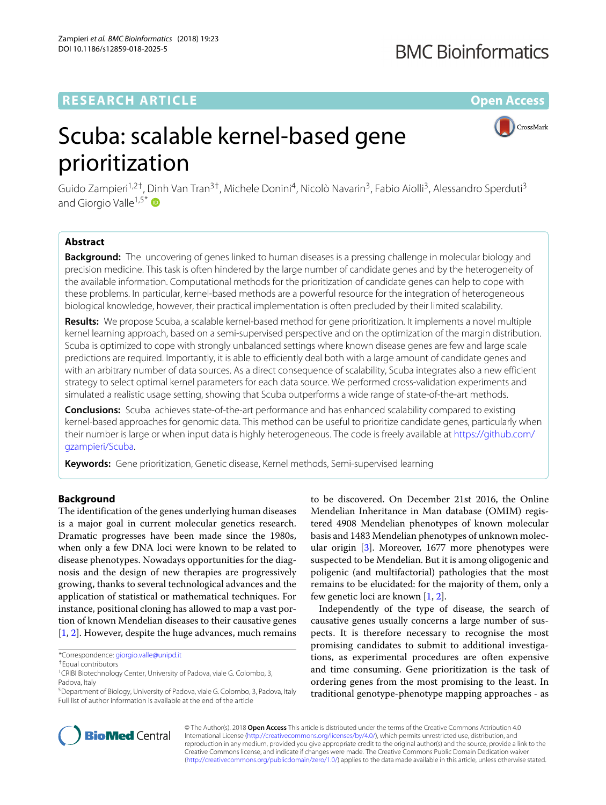## **RESEARCH ARTICLE Open Access**

## **BMC Bioinformatics**

CrossMark

# Scuba: scalable kernel-based gene prioritization

Guido Zampieri<sup>1,2†</sup>, Dinh Van Tran<sup>3†</sup>, Michele Donini<sup>4</sup>, Nicolò Navarin<sup>3</sup>, Fabio Aiolli<sup>3</sup>, Alessandro Sperduti<sup>3</sup> and Giorgio Valle<sup>1,5\*</sup>

## **Abstract**

**Background:** The uncovering of genes linked to human diseases is a pressing challenge in molecular biology and precision medicine. This task is often hindered by the large number of candidate genes and by the heterogeneity of the available information. Computational methods for the prioritization of candidate genes can help to cope with these problems. In particular, kernel-based methods are a powerful resource for the integration of heterogeneous biological knowledge, however, their practical implementation is often precluded by their limited scalability.

**Results:** We propose Scuba, a scalable kernel-based method for gene prioritization. It implements a novel multiple kernel learning approach, based on a semi-supervised perspective and on the optimization of the margin distribution. Scuba is optimized to cope with strongly unbalanced settings where known disease genes are few and large scale predictions are required. Importantly, it is able to efficiently deal both with a large amount of candidate genes and with an arbitrary number of data sources. As a direct consequence of scalability, Scuba integrates also a new efficient strategy to select optimal kernel parameters for each data source. We performed cross-validation experiments and simulated a realistic usage setting, showing that Scuba outperforms a wide range of state-of-the-art methods.

**Conclusions:** Scuba achieves state-of-the-art performance and has enhanced scalability compared to existing kernel-based approaches for genomic data. This method can be useful to prioritize candidate genes, particularly when their number is large or when input data is highly heterogeneous. The code is freely available at [https://github.com/](https://github.com/gzampieri/Scuba) [gzampieri/Scuba.](https://github.com/gzampieri/Scuba)

**Keywords:** Gene prioritization, Genetic disease, Kernel methods, Semi-supervised learning

## **Background**

The identification of the genes underlying human diseases is a major goal in current molecular genetics research. Dramatic progresses have been made since the 1980s, when only a few DNA loci were known to be related to disease phenotypes. Nowadays opportunities for the diagnosis and the design of new therapies are progressively growing, thanks to several technological advances and the application of statistical or mathematical techniques. For instance, positional cloning has allowed to map a vast portion of known Mendelian diseases to their causative genes [\[1,](#page-10-0) [2\]](#page-10-1). However, despite the huge advances, much remains

to be discovered. On December 21st 2016, the Online Mendelian Inheritance in Man database (OMIM) registered 4908 Mendelian phenotypes of known molecular basis and 1483 Mendelian phenotypes of unknown molecular origin [\[3\]](#page-10-2). Moreover, 1677 more phenotypes were suspected to be Mendelian. But it is among oligogenic and poligenic (and multifactorial) pathologies that the most remains to be elucidated: for the majority of them, only a few genetic loci are known [\[1,](#page-10-0) [2\]](#page-10-1).

Independently of the type of disease, the search of causative genes usually concerns a large number of suspects. It is therefore necessary to recognise the most promising candidates to submit to additional investigations, as experimental procedures are often expensive and time consuming. Gene prioritization is the task of ordering genes from the most promising to the least. In traditional genotype-phenotype mapping approaches - as



© The Author(s). 2018 **Open Access** This article is distributed under the terms of the Creative Commons Attribution 4.0 International License [\(http://creativecommons.org/licenses/by/4.0/\)](http://creativecommons.org/licenses/by/4.0/), which permits unrestricted use, distribution, and reproduction in any medium, provided you give appropriate credit to the original author(s) and the source, provide a link to the Creative Commons license, and indicate if changes were made. The Creative Commons Public Domain Dedication waiver [\(http://creativecommons.org/publicdomain/zero/1.0/\)](http://creativecommons.org/publicdomain/zero/1.0/) applies to the data made available in this article, unless otherwise stated.

<sup>\*</sup>Correspondence: [giorgio.valle@unipd.it](mailto: giorgio.valle@unipd.it)

<sup>†</sup>Equal contributors

<sup>&</sup>lt;sup>1</sup> CRIBI Biotechnology Center, University of Padova, viale G. Colombo, 3, Padova, Italy

<sup>&</sup>lt;sup>5</sup> Department of Biology, University of Padova, viale G. Colombo, 3, Padova, Italy Full list of author information is available at the end of the article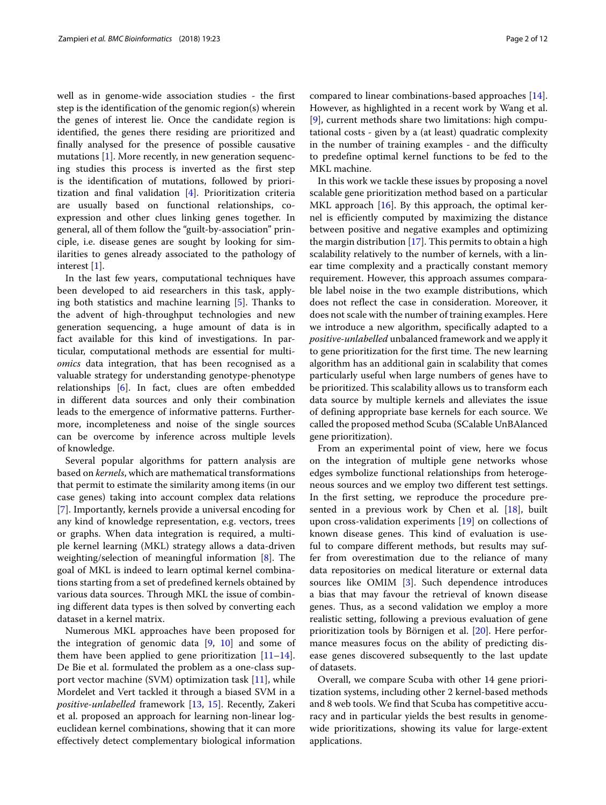well as in genome-wide association studies - the first step is the identification of the genomic region(s) wherein the genes of interest lie. Once the candidate region is identified, the genes there residing are prioritized and finally analysed for the presence of possible causative mutations [\[1\]](#page-10-0). More recently, in new generation sequencing studies this process is inverted as the first step is the identification of mutations, followed by prioritization and final validation [\[4\]](#page-10-3). Prioritization criteria are usually based on functional relationships, coexpression and other clues linking genes together. In general, all of them follow the "guilt-by-association" principle, i.e. disease genes are sought by looking for similarities to genes already associated to the pathology of interest [\[1\]](#page-10-0).

In the last few years, computational techniques have been developed to aid researchers in this task, applying both statistics and machine learning [\[5\]](#page-10-4). Thanks to the advent of high-throughput technologies and new generation sequencing, a huge amount of data is in fact available for this kind of investigations. In particular, computational methods are essential for multi*omics* data integration, that has been recognised as a valuable strategy for understanding genotype-phenotype relationships [\[6\]](#page-10-5). In fact, clues are often embedded in different data sources and only their combination leads to the emergence of informative patterns. Furthermore, incompleteness and noise of the single sources can be overcome by inference across multiple levels of knowledge.

Several popular algorithms for pattern analysis are based on *kernels*, which are mathematical transformations that permit to estimate the similarity among items (in our case genes) taking into account complex data relations [\[7\]](#page-10-6). Importantly, kernels provide a universal encoding for any kind of knowledge representation, e.g. vectors, trees or graphs. When data integration is required, a multiple kernel learning (MKL) strategy allows a data-driven weighting/selection of meaningful information [\[8\]](#page-10-7). The goal of MKL is indeed to learn optimal kernel combinations starting from a set of predefined kernels obtained by various data sources. Through MKL the issue of combining different data types is then solved by converting each dataset in a kernel matrix.

Numerous MKL approaches have been proposed for the integration of genomic data  $[9, 10]$  $[9, 10]$  $[9, 10]$  and some of them have been applied to gene prioritization  $[11-14]$  $[11-14]$ . De Bie et al. formulated the problem as a one-class support vector machine (SVM) optimization task [\[11\]](#page-10-10), while Mordelet and Vert tackled it through a biased SVM in a *positive-unlabelled* framework [\[13,](#page-10-12) [15\]](#page-10-13). Recently, Zakeri et al. proposed an approach for learning non-linear logeuclidean kernel combinations, showing that it can more effectively detect complementary biological information

compared to linear combinations-based approaches [\[14\]](#page-10-11). However, as highlighted in a recent work by Wang et al. [\[9\]](#page-10-8), current methods share two limitations: high computational costs - given by a (at least) quadratic complexity in the number of training examples - and the difficulty to predefine optimal kernel functions to be fed to the MKL machine.

In this work we tackle these issues by proposing a novel scalable gene prioritization method based on a particular MKL approach [\[16\]](#page-10-14). By this approach, the optimal kernel is efficiently computed by maximizing the distance between positive and negative examples and optimizing the margin distribution [\[17\]](#page-10-15). This permits to obtain a high scalability relatively to the number of kernels, with a linear time complexity and a practically constant memory requirement. However, this approach assumes comparable label noise in the two example distributions, which does not reflect the case in consideration. Moreover, it does not scale with the number of training examples. Here we introduce a new algorithm, specifically adapted to a *positive-unlabelled* unbalanced framework and we apply it to gene prioritization for the first time. The new learning algorithm has an additional gain in scalability that comes particularly useful when large numbers of genes have to be prioritized. This scalability allows us to transform each data source by multiple kernels and alleviates the issue of defining appropriate base kernels for each source. We called the proposed method Scuba (SCalable UnBAlanced gene prioritization).

From an experimental point of view, here we focus on the integration of multiple gene networks whose edges symbolize functional relationships from heterogeneous sources and we employ two different test settings. In the first setting, we reproduce the procedure presented in a previous work by Chen et al. [\[18\]](#page-10-16), built upon cross-validation experiments [\[19\]](#page-10-17) on collections of known disease genes. This kind of evaluation is useful to compare different methods, but results may suffer from overestimation due to the reliance of many data repositories on medical literature or external data sources like OMIM [\[3\]](#page-10-2). Such dependence introduces a bias that may favour the retrieval of known disease genes. Thus, as a second validation we employ a more realistic setting, following a previous evaluation of gene prioritization tools by Börnigen et al. [\[20\]](#page-10-18). Here performance measures focus on the ability of predicting disease genes discovered subsequently to the last update of datasets.

Overall, we compare Scuba with other 14 gene prioritization systems, including other 2 kernel-based methods and 8 web tools. We find that Scuba has competitive accuracy and in particular yields the best results in genomewide prioritizations, showing its value for large-extent applications.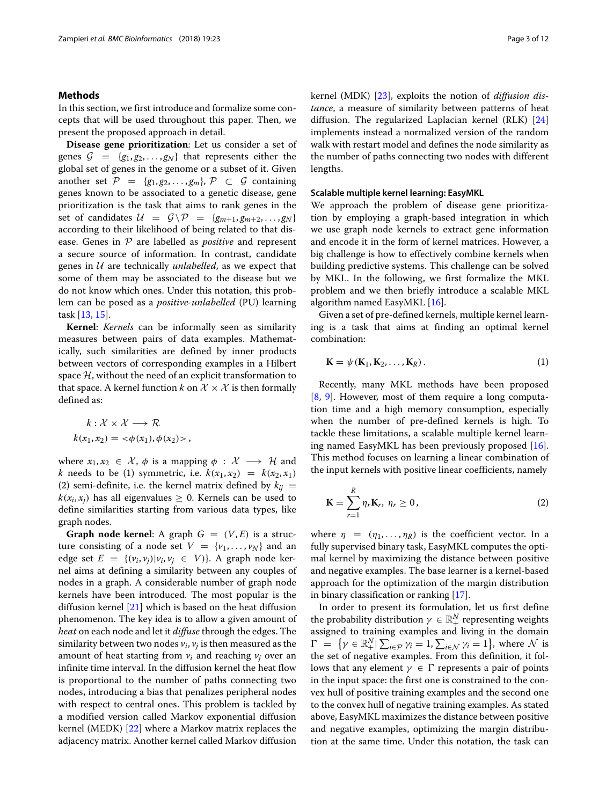## **Methods**

In this section, we first introduce and formalize some concepts that will be used throughout this paper. Then, we present the proposed approach in detail.

**Disease gene prioritization**: Let us consider a set of genes  $G = \{g_1, g_2, \ldots, g_N\}$  that represents either the global set of genes in the genome or a subset of it. Given another set  $\mathcal{P} = \{g_1, g_2, \ldots, g_m\}, \mathcal{P} \subset \mathcal{G}$  containing genes known to be associated to a genetic disease, gene prioritization is the task that aims to rank genes in the set of candidates  $U = G \backslash \mathcal{P} = \{g_{m+1}, g_{m+2}, \ldots, g_N\}$ according to their likelihood of being related to that disease. Genes in P are labelled as *positive* and represent a secure source of information. In contrast, candidate genes in U are technically *unlabelled*, as we expect that some of them may be associated to the disease but we do not know which ones. Under this notation, this problem can be posed as a *positive-unlabelled* (PU) learning task [\[13,](#page-10-12) [15\]](#page-10-13).

**Kernel**: *Kernels* can be informally seen as similarity measures between pairs of data examples. Mathematically, such similarities are defined by inner products between vectors of corresponding examples in a Hilbert space  $H$ , without the need of an explicit transformation to that space. A kernel function *k* on  $\mathcal{X} \times \mathcal{X}$  is then formally defined as:

$$
k: \mathcal{X} \times \mathcal{X} \longrightarrow \mathcal{R}
$$

$$
k(x_1, x_2) = \langle \phi(x_1), \phi(x_2) \rangle
$$

where  $x_1, x_2 \in \mathcal{X}, \phi$  is a mapping  $\phi : \mathcal{X} \longrightarrow \mathcal{H}$  and *k* needs to be (1) symmetric, i.e.  $k(x_1, x_2) = k(x_2, x_1)$ (2) semi-definite, i.e. the kernel matrix defined by  $k_{ii}$  =  $k(x_i, x_j)$  has all eigenvalues  $\geq 0$ . Kernels can be used to define similarities starting from various data types, like graph nodes.

**Graph node kernel:** A graph  $G = (V, E)$  is a structure consisting of a node set  $V = \{v_1, \ldots, v_N\}$  and an edge set  $E = \{(v_i, v_j)|v_i, v_j \in V\}$ . A graph node kernel aims at defining a similarity between any couples of nodes in a graph. A considerable number of graph node kernels have been introduced. The most popular is the diffusion kernel [\[21\]](#page-10-19) which is based on the heat diffusion phenomenon. The key idea is to allow a given amount of *heat* on each node and let it *diffuse* through the edges. The similarity between two nodes  $v_i$ ,  $v_j$  is then measured as the amount of heat starting from *vi* and reaching *vj* over an infinite time interval. In the diffusion kernel the heat flow is proportional to the number of paths connecting two nodes, introducing a bias that penalizes peripheral nodes with respect to central ones. This problem is tackled by a modified version called Markov exponential diffusion kernel (MEDK) [\[22\]](#page-10-20) where a Markov matrix replaces the adjacency matrix. Another kernel called Markov diffusion kernel (MDK) [\[23\]](#page-10-21), exploits the notion of *diffusion distance*, a measure of similarity between patterns of heat diffusion. The regularized Laplacian kernel (RLK) [\[24\]](#page-10-22) implements instead a normalized version of the random walk with restart model and defines the node similarity as the number of paths connecting two nodes with different lengths.

## **Scalable multiple kernel learning: EasyMKL**

We approach the problem of disease gene prioritization by employing a graph-based integration in which we use graph node kernels to extract gene information and encode it in the form of kernel matrices. However, a big challenge is how to effectively combine kernels when building predictive systems. This challenge can be solved by MKL. In the following, we first formalize the MKL problem and we then briefly introduce a scalable MKL algorithm named EasyMKL [\[16\]](#page-10-14).

Given a set of pre-defined kernels, multiple kernel learning is a task that aims at finding an optimal kernel combination:

$$
\mathbf{K} = \psi(\mathbf{K}_1, \mathbf{K}_2, \dots, \mathbf{K}_R). \tag{1}
$$

Recently, many MKL methods have been proposed [\[8,](#page-10-7) [9\]](#page-10-8). However, most of them require a long computation time and a high memory consumption, especially when the number of pre-defined kernels is high. To tackle these limitations, a scalable multiple kernel learning named EasyMKL has been previously proposed [\[16\]](#page-10-14). This method focuses on learning a linear combination of the input kernels with positive linear coefficients, namely

$$
\mathbf{K} = \sum_{r=1}^{R} \eta_r \mathbf{K}_r, \ \eta_r \ge 0, \tag{2}
$$

where  $\eta = (\eta_1, \dots, \eta_R)$  is the coefficient vector. In a fully supervised binary task, EasyMKL computes the optimal kernel by maximizing the distance between positive and negative examples. The base learner is a kernel-based approach for the optimization of the margin distribution in binary classification or ranking [\[17\]](#page-10-15).

In order to present its formulation, let us first define the probability distribution  $\gamma \in \mathbb{R}^N_+$  representing weights assigned to training examples and living in the domain  $\Gamma = \{ \gamma \in \mathbb{R}^N_+ | \sum_{i \in \mathcal{P}} \gamma_i = 1, \sum_{i \in \mathcal{N}} \gamma_i = 1 \}, \text{ where } \mathcal{N} \text{ is }$ the set of negative examples. From this definition, it follows that any element  $\gamma \in \Gamma$  represents a pair of points in the input space: the first one is constrained to the convex hull of positive training examples and the second one to the convex hull of negative training examples. As stated above, EasyMKL maximizes the distance between positive and negative examples, optimizing the margin distribution at the same time. Under this notation, the task can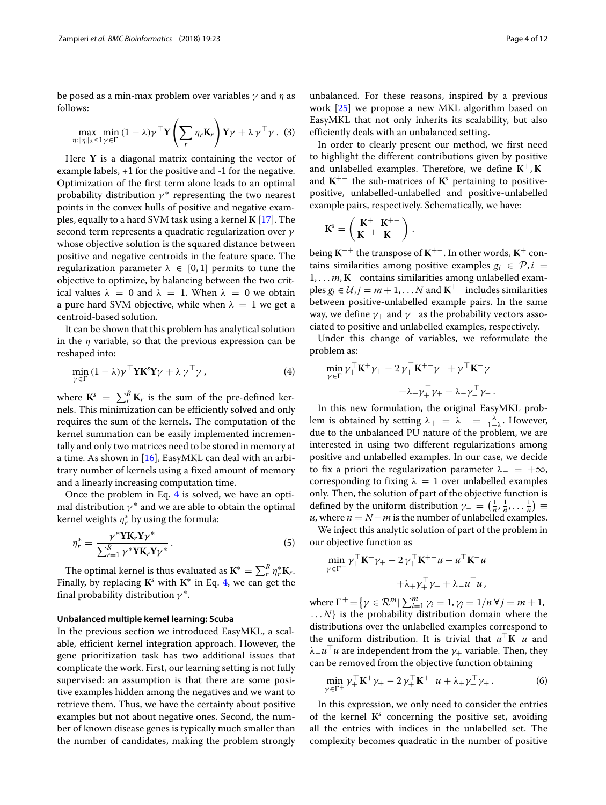be posed as a min-max problem over variables  $\gamma$  and  $\eta$  as follows:

$$
\max_{\eta: \|\eta\|_2 \le 1} \min_{\gamma \in \Gamma} (1 - \lambda) \gamma^\top \mathbf{Y} \left( \sum_r \eta_r \mathbf{K}_r \right) \mathbf{Y} \gamma + \lambda \gamma^\top \gamma. \tag{3}
$$

Here **Y** is a diagonal matrix containing the vector of example labels, +1 for the positive and -1 for the negative. Optimization of the first term alone leads to an optimal probability distribution  $\gamma^*$  representing the two nearest points in the convex hulls of positive and negative examples, equally to a hard SVM task using a kernel **K** [\[17\]](#page-10-15). The second term represents a quadratic regularization over γ whose objective solution is the squared distance between positive and negative centroids in the feature space. The regularization parameter  $\lambda \in [0,1]$  permits to tune the objective to optimize, by balancing between the two critical values  $\lambda = 0$  and  $\lambda = 1$ . When  $\lambda = 0$  we obtain a pure hard SVM objective, while when  $\lambda = 1$  we get a centroid-based solution.

It can be shown that this problem has analytical solution in the  $\eta$  variable, so that the previous expression can be reshaped into:

<span id="page-3-0"></span>
$$
\min_{\gamma \in \Gamma} (1 - \lambda) \gamma^{\top} \mathbf{Y} \mathbf{K}^s \mathbf{Y} \gamma + \lambda \gamma^{\top} \gamma, \tag{4}
$$

where  $\mathbf{K}^s = \sum_r^R \mathbf{K}_r$  is the sum of the pre-defined kernels. This minimization can be efficiently solved and only requires the sum of the kernels. The computation of the kernel summation can be easily implemented incrementally and only two matrices need to be stored in memory at a time. As shown in  $[16]$ , EasyMKL can deal with an arbitrary number of kernels using a fixed amount of memory and a linearly increasing computation time.

Once the problem in Eq. [4](#page-3-0) is solved, we have an optimal distribution  $\gamma^*$  and we are able to obtain the optimal kernel weights  $\eta_r^*$  by using the formula:

$$
\eta_r^* = \frac{\gamma^* Y K_r Y \gamma^*}{\sum_{r=1}^R \gamma^* Y K_r Y \gamma^*}.
$$
\n(5)

The optimal kernel is thus evaluated as  $\mathbf{K}^* = \sum_r^R \eta_r^* \mathbf{K}_r$ . Finally, by replacing  $K^s$  with  $K^*$  in Eq. [4,](#page-3-0) we can get the final probability distribution  $\gamma^*$ .

## **Unbalanced multiple kernel learning: Scuba**

In the previous section we introduced EasyMKL, a scalable, efficient kernel integration approach. However, the gene prioritization task has two additional issues that complicate the work. First, our learning setting is not fully supervised: an assumption is that there are some positive examples hidden among the negatives and we want to retrieve them. Thus, we have the certainty about positive examples but not about negative ones. Second, the number of known disease genes is typically much smaller than the number of candidates, making the problem strongly

unbalanced. For these reasons, inspired by a previous work [\[25\]](#page-10-23) we propose a new MKL algorithm based on EasyMKL that not only inherits its scalability, but also efficiently deals with an unbalanced setting.

In order to clearly present our method, we first need to highlight the different contributions given by positive and unlabelled examples. Therefore, we define **K**+, **K**− and  $K^{+-}$  the sub-matrices of  $K^s$  pertaining to positivepositive, unlabelled-unlabelled and positive-unlabelled example pairs, respectively. Schematically, we have:

$$
\mathbf{K}^s = \begin{pmatrix} \mathbf{K}^+ & \mathbf{K}^{+-} \\ \mathbf{K}^{-+} & \mathbf{K}^- \end{pmatrix}.
$$

being **K**−+ the transpose of **K**+−. In other words, **K**+ contains similarities among positive examples  $g_i \in \mathcal{P}, i =$ 1, ... *m*, **K**− contains similarities among unlabelled examples *g<sub>j</sub>* ∈  $U$ , *j* = *m* + 1, . . . *N* and **K**<sup>+−</sup> includes similarities between positive-unlabelled example pairs. In the same way, we define  $\gamma_+$  and  $\gamma_-$  as the probability vectors associated to positive and unlabelled examples, respectively.

Under this change of variables, we reformulate the problem as:

$$
\min_{\gamma \in \Gamma} \gamma_+^{\top} \mathbf{K}^+ \gamma_+ - 2 \gamma_+^{\top} \mathbf{K}^{+-} \gamma_- + \gamma_-^{\top} \mathbf{K}^- \gamma_- \n+ \lambda_+ \gamma_+^{\top} \gamma_+ + \lambda_- \gamma_-^{\top} \gamma_-.
$$

In this new formulation, the original EasyMKL problem is obtained by setting  $\lambda_+ = \lambda_- = \frac{\lambda}{1-\lambda}$ . However, due to the unbalanced PU nature of the problem, we are interested in using two different regularizations among positive and unlabelled examples. In our case, we decide to fix a priori the regularization parameter  $\lambda = +\infty$ , corresponding to fixing  $\lambda = 1$  over unlabelled examples only. Then, the solution of part of the objective function is defined by the uniform distribution  $\gamma_- = \left(\frac{1}{n}, \frac{1}{n}, \dots \frac{1}{n}\right) \equiv$ *u*, where  $n = N - m$  is the number of unlabelled examples.

<span id="page-3-2"></span>We inject this analytic solution of part of the problem in our objective function as

$$
\min_{\gamma \in \Gamma^+} \gamma_+^{\top} \mathbf{K}^+ \gamma_+ - 2 \gamma_+^{\top} \mathbf{K}^{+-} u + u^{\top} \mathbf{K}^- u
$$

$$
+ \lambda_+ \gamma_+^{\top} \gamma_+ + \lambda_- u^{\top} u,
$$

where  $\Gamma^+ = \{ \gamma \in \mathcal{R}^m_+ | \sum_{i=1}^m \gamma_i = 1, \gamma_j = 1/n \ \forall j = m+1, \}$ ... *N*} is the probability distribution domain where the distributions over the unlabelled examples correspond to the uniform distribution. It is trivial that  $u<sup>T</sup>K<sup>-</sup>u$  and  $\lambda$ <sub>-*u*</sub><sup>T</sup> *u* are independent from the  $\gamma$ <sub>+</sub> variable. Then, they can be removed from the objective function obtaining

<span id="page-3-1"></span>
$$
\min_{\gamma \in \Gamma^+} \gamma_+^{\top} \mathbf{K}^+ \gamma_+ - 2 \gamma_+^{\top} \mathbf{K}^{+-} u + \lambda_+ \gamma_+^{\top} \gamma_+ . \tag{6}
$$

In this expression, we only need to consider the entries of the kernel  $K^s$  concerning the positive set, avoiding all the entries with indices in the unlabelled set. The complexity becomes quadratic in the number of positive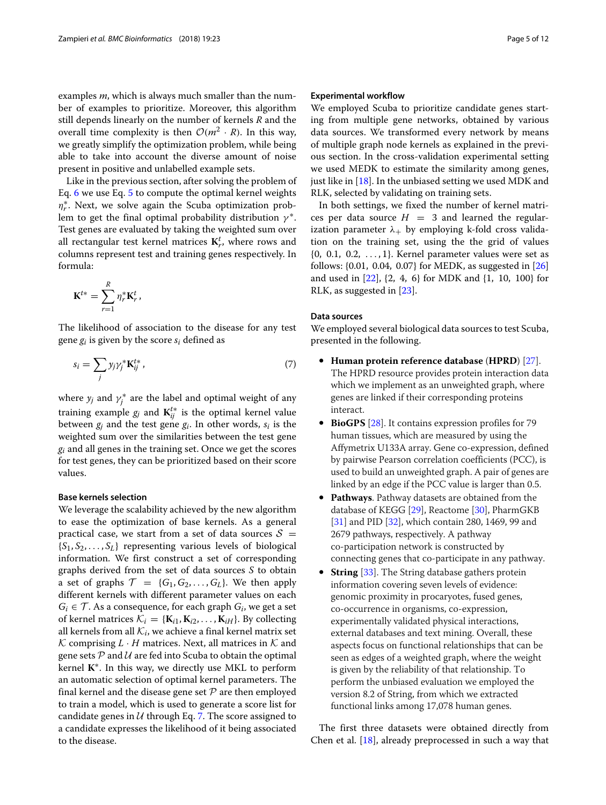examples *m*, which is always much smaller than the number of examples to prioritize. Moreover, this algorithm still depends linearly on the number of kernels *R* and the overall time complexity is then  $\mathcal{O}(m^2 \cdot R)$ . In this way, we greatly simplify the optimization problem, while being able to take into account the diverse amount of noise present in positive and unlabelled example sets.

Like in the previous section, after solving the problem of Eq. [6](#page-3-1) we use Eq. [5](#page-3-2) to compute the optimal kernel weights  $η<sub>r</sub><sup>*</sup>$ . Next, we solve again the Scuba optimization problem to get the final optimal probability distribution  $\gamma^*$ . Test genes are evaluated by taking the weighted sum over all rectangular test kernel matrices  $\mathbf{K}_r^t$ , where rows and columns represent test and training genes respectively. In formula:

$$
\mathbf{K}^{t*} = \sum_{r=1}^R \eta_r^* \mathbf{K}_r^t,
$$

The likelihood of association to the disease for any test gene *gi* is given by the score *si* defined as

$$
s_i = \sum_j y_j \gamma_j^* \mathbf{K}_{ij}^{t*} \,, \tag{7}
$$

where  $y_j$  and  $\gamma_j^*$  are the label and optimal weight of any training example  $g_j$  and  $\mathbf{K}_{ij}^{t*}$  is the optimal kernel value between  $g_i$  and the test gene  $g_i$ . In other words,  $s_i$  is the weighted sum over the similarities between the test gene *gi* and all genes in the training set. Once we get the scores for test genes, they can be prioritized based on their score values.

## **Base kernels selection**

We leverage the scalability achieved by the new algorithm to ease the optimization of base kernels. As a general practical case, we start from a set of data sources  $S =$  $\{S_1, S_2, \ldots, S_L\}$  representing various levels of biological information. We first construct a set of corresponding graphs derived from the set of data sources *S* to obtain a set of graphs  $\mathcal{T} = \{G_1, G_2, \ldots, G_L\}$ . We then apply different kernels with different parameter values on each  $G_i \in \mathcal{T}$ . As a consequence, for each graph  $G_i$ , we get a set of kernel matrices  $\mathcal{K}_i = \{K_{i1}, K_{i2}, \ldots, K_{iH}\}\$ . By collecting all kernels from all  $K_i$ , we achieve a final kernel matrix set  $K$  comprising  $L \cdot H$  matrices. Next, all matrices in  $K$  and gene sets  $P$  and  $U$  are fed into Scuba to obtain the optimal kernel **K**∗. In this way, we directly use MKL to perform an automatic selection of optimal kernel parameters. The final kernel and the disease gene set  $P$  are then employed to train a model, which is used to generate a score list for candidate genes in  $U$  through Eq. [7.](#page-4-0) The score assigned to a candidate expresses the likelihood of it being associated to the disease.

## **Experimental workflow**

We employed Scuba to prioritize candidate genes starting from multiple gene networks, obtained by various data sources. We transformed every network by means of multiple graph node kernels as explained in the previous section. In the cross-validation experimental setting we used MEDK to estimate the similarity among genes, just like in  $[18]$ . In the unbiased setting we used MDK and RLK, selected by validating on training sets.

In both settings, we fixed the number of kernel matrices per data source  $H = 3$  and learned the regularization parameter  $\lambda_+$  by employing k-fold cross validation on the training set, using the the grid of values  $\{0, 0.1, 0.2, \ldots, 1\}$ . Kernel parameter values were set as follows: {0.01, 0.04, 0.07} for MEDK, as suggested in [\[26\]](#page-10-24) and used in [\[22\]](#page-10-20), {2, 4, 6} for MDK and {1, 10, 100} for RLK, as suggested in [\[23\]](#page-10-21).

## **Data sources**

<span id="page-4-0"></span>We employed several biological data sources to test Scuba, presented in the following.

- **Human protein reference database** (**HPRD**) [\[27\]](#page-10-25). The HPRD resource provides protein interaction data which we implement as an unweighted graph, where genes are linked if their corresponding proteins interact.
- **BioGPS** [\[28\]](#page-10-26). It contains expression profiles for 79 human tissues, which are measured by using the Affymetrix U133A array. Gene co-expression, defined by pairwise Pearson correlation coefficients (PCC), is used to build an unweighted graph. A pair of genes are linked by an edge if the PCC value is larger than 0.5.
- **Pathways**. Pathway datasets are obtained from the database of KEGG [\[29\]](#page-10-27), Reactome [\[30\]](#page-10-28), PharmGKB [\[31\]](#page-10-29) and PID [\[32\]](#page-10-30), which contain 280, 1469, 99 and 2679 pathways, respectively. A pathway co-participation network is constructed by connecting genes that co-participate in any pathway.
- **String** [\[33\]](#page-10-31). The String database gathers protein information covering seven levels of evidence: genomic proximity in procaryotes, fused genes, co-occurrence in organisms, co-expression, experimentally validated physical interactions, external databases and text mining. Overall, these aspects focus on functional relationships that can be seen as edges of a weighted graph, where the weight is given by the reliability of that relationship. To perform the unbiased evaluation we employed the version 8.2 of String, from which we extracted functional links among 17,078 human genes.

The first three datasets were obtained directly from Chen et al. [\[18\]](#page-10-16), already preprocessed in such a way that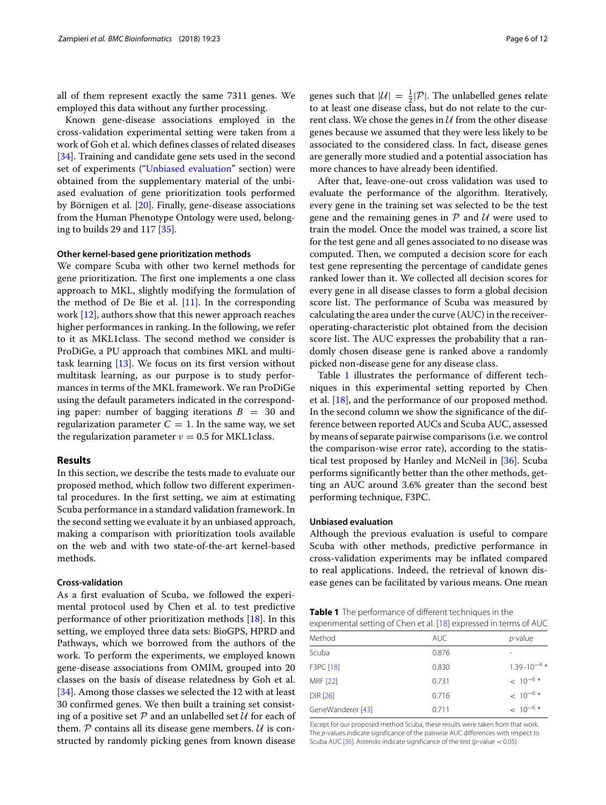all of them represent exactly the same 7311 genes. We employed this data without any further processing.

Known gene-disease associations employed in the cross-validation experimental setting were taken from a work of Goh et al. which defines classes of related diseases [\[34\]](#page-10-32). Training and candidate gene sets used in the second set of experiments (["Unbiased evaluation"](#page-5-0) section) were obtained from the supplementary material of the unbiased evaluation of gene prioritization tools performed by Börnigen et al. [\[20\]](#page-10-18). Finally, gene-disease associations from the Human Phenotype Ontology were used, belonging to builds 29 and 117 [\[35\]](#page-10-33).

## **Other kernel-based gene prioritization methods**

We compare Scuba with other two kernel methods for gene prioritization. The first one implements a one class approach to MKL, slightly modifying the formulation of the method of De Bie et al.  $[11]$ . In the corresponding work [\[12\]](#page-10-34), authors show that this newer approach reaches higher performances in ranking. In the following, we refer to it as MKL1class. The second method we consider is ProDiGe, a PU approach that combines MKL and multitask learning [\[13\]](#page-10-12). We focus on its first version without multitask learning, as our purpose is to study performances in terms of the MKL framework. We ran ProDiGe using the default parameters indicated in the corresponding paper: number of bagging iterations  $B = 30$  and regularization parameter  $C = 1$ . In the same way, we set the regularization parameter  $v = 0.5$  for MKL1class.

## **Results**

In this section, we describe the tests made to evaluate our proposed method, which follow two different experimental procedures. In the first setting, we aim at estimating Scuba performance in a standard validation framework. In the second setting we evaluate it by an unbiased approach, making a comparison with prioritization tools available on the web and with two state-of-the-art kernel-based methods.

## **Cross-validation**

As a first evaluation of Scuba, we followed the experimental protocol used by Chen et al. to test predictive performance of other prioritization methods [\[18\]](#page-10-16). In this setting, we employed three data sets: BioGPS, HPRD and Pathways, which we borrowed from the authors of the work. To perform the experiments, we employed known gene-disease associations from OMIM, grouped into 20 classes on the basis of disease relatedness by Goh et al. [\[34\]](#page-10-32). Among those classes we selected the 12 with at least 30 confirmed genes. We then built a training set consisting of a positive set  $P$  and an unlabelled set  $U$  for each of them.  $P$  contains all its disease gene members.  $U$  is constructed by randomly picking genes from known disease

genes such that  $|U| = \frac{1}{2}|\mathcal{P}|$ . The unlabelled genes relate to at least one disease class, but do not relate to the current class. We chose the genes in  $U$  from the other disease genes because we assumed that they were less likely to be associated to the considered class. In fact, disease genes are generally more studied and a potential association has more chances to have already been identified.

After that, leave-one-out cross validation was used to evaluate the performance of the algorithm. Iteratively, every gene in the training set was selected to be the test gene and the remaining genes in  $P$  and  $U$  were used to train the model. Once the model was trained, a score list for the test gene and all genes associated to no disease was computed. Then, we computed a decision score for each test gene representing the percentage of candidate genes ranked lower than it. We collected all decision scores for every gene in all disease classes to form a global decision score list. The performance of Scuba was measured by calculating the area under the curve (AUC) in the receiveroperating-characteristic plot obtained from the decision score list. The AUC expresses the probability that a randomly chosen disease gene is ranked above a randomly picked non-disease gene for any disease class.

Table [1](#page-5-1) illustrates the performance of different techniques in this experimental setting reported by Chen et al. [\[18\]](#page-10-16), and the performance of our proposed method. In the second column we show the significance of the difference between reported AUCs and Scuba AUC, assessed by means of separate pairwise comparisons (i.e. we control the comparison-wise error rate), according to the statistical test proposed by Hanley and McNeil in [\[36\]](#page-10-35). Scuba performs significantly better than the other methods, getting an AUC around 3.6% greater than the second best performing technique, F3PC.

## <span id="page-5-0"></span>**Unbiased evaluation**

Although the previous evaluation is useful to compare Scuba with other methods, predictive performance in cross-validation experiments may be inflated compared to real applications. Indeed, the retrieval of known disease genes can be facilitated by various means. One mean

<span id="page-5-1"></span>

| Table 1 The performance of different techniques in the             |  |
|--------------------------------------------------------------------|--|
| experimental setting of Chen et al. [18] expressed in terms of AUC |  |

| Method            | <b>AUC</b> | $p$ -value             |
|-------------------|------------|------------------------|
| Scuba             | 0.876      |                        |
| F3PC [18]         | 0.830      | $1.39 \cdot 10^{-4}$ * |
| MRF [22]          | 0.731      | $< 10^{-6}$ *          |
| DIR [26]          | 0.716      | $< 10^{-6}$ *          |
| GeneWanderer [43] | 0.711      | $< 10^{-6}$ *          |
|                   |            |                        |

Except for our proposed method Scuba, these results were taken from that work. The p-values indicate significance of the pairwise AUC differences with respect to Scuba AUC [\[36\]](#page-10-35). Asterisks indicate significance of the test (p-value < 0.05)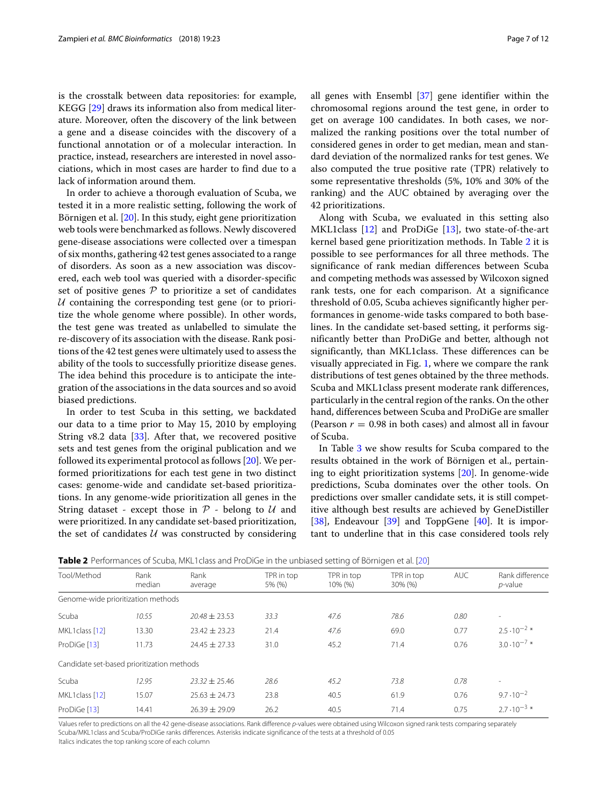is the crosstalk between data repositories: for example, KEGG [\[29\]](#page-10-27) draws its information also from medical literature. Moreover, often the discovery of the link between a gene and a disease coincides with the discovery of a functional annotation or of a molecular interaction. In practice, instead, researchers are interested in novel associations, which in most cases are harder to find due to a lack of information around them.

In order to achieve a thorough evaluation of Scuba, we tested it in a more realistic setting, following the work of Börnigen et al. [\[20\]](#page-10-18). In this study, eight gene prioritization web tools were benchmarked as follows. Newly discovered gene-disease associations were collected over a timespan of six months, gathering 42 test genes associated to a range of disorders. As soon as a new association was discovered, each web tool was queried with a disorder-specific set of positive genes  $P$  to prioritize a set of candidates  $U$  containing the corresponding test gene (or to prioritize the whole genome where possible). In other words, the test gene was treated as unlabelled to simulate the re-discovery of its association with the disease. Rank positions of the 42 test genes were ultimately used to assess the ability of the tools to successfully prioritize disease genes. The idea behind this procedure is to anticipate the integration of the associations in the data sources and so avoid biased predictions.

In order to test Scuba in this setting, we backdated our data to a time prior to May 15, 2010 by employing String v8.2 data  $[33]$ . After that, we recovered positive sets and test genes from the original publication and we followed its experimental protocol as follows [\[20\]](#page-10-18). We performed prioritizations for each test gene in two distinct cases: genome-wide and candidate set-based prioritizations. In any genome-wide prioritization all genes in the String dataset - except those in  $P$  - belong to  $U$  and were prioritized. In any candidate set-based prioritization, the set of candidates  $U$  was constructed by considering all genes with Ensembl [\[37\]](#page-10-36) gene identifier within the chromosomal regions around the test gene, in order to get on average 100 candidates. In both cases, we normalized the ranking positions over the total number of considered genes in order to get median, mean and standard deviation of the normalized ranks for test genes. We also computed the true positive rate (TPR) relatively to some representative thresholds (5%, 10% and 30% of the ranking) and the AUC obtained by averaging over the 42 prioritizations.

Along with Scuba, we evaluated in this setting also MKL1class  $[12]$  and ProDiGe  $[13]$ , two state-of-the-art kernel based gene prioritization methods. In Table [2](#page-6-0) it is possible to see performances for all three methods. The significance of rank median differences between Scuba and competing methods was assessed by Wilcoxon signed rank tests, one for each comparison. At a significance threshold of 0.05, Scuba achieves significantly higher performances in genome-wide tasks compared to both baselines. In the candidate set-based setting, it performs significantly better than ProDiGe and better, although not significantly, than MKL1class. These differences can be visually appreciated in Fig. [1,](#page-7-0) where we compare the rank distributions of test genes obtained by the three methods. Scuba and MKL1class present moderate rank differences, particularly in the central region of the ranks. On the other hand, differences between Scuba and ProDiGe are smaller (Pearson  $r = 0.98$  in both cases) and almost all in favour of Scuba.

In Table [3](#page-8-0) we show results for Scuba compared to the results obtained in the work of Börnigen et al., pertaining to eight prioritization systems [\[20\]](#page-10-18). In genome-wide predictions, Scuba dominates over the other tools. On predictions over smaller candidate sets, it is still competitive although best results are achieved by GeneDistiller [\[38\]](#page-10-37), Endeavour [\[39\]](#page-10-38) and ToppGene [\[40\]](#page-10-39). It is important to underline that in this case considered tools rely

<span id="page-6-0"></span>

| Tool/Method                                | Rank<br>median | Rank<br>average   | TPR in top<br>5% (%) | TPR in top<br>10% (%) | TPR in top<br>30% (%) | <b>AUC</b> | Rank difference<br>$p$ -value |
|--------------------------------------------|----------------|-------------------|----------------------|-----------------------|-----------------------|------------|-------------------------------|
| Genome-wide prioritization methods         |                |                   |                      |                       |                       |            |                               |
| Scuba                                      | 10.55          | $20.48 \pm 23.53$ | 33.3                 | 47.6                  | 78.6                  | 0.80       | $\overline{\phantom{a}}$      |
| MKL1class [12]                             | 13.30          | $23.42 \pm 23.23$ | 21.4                 | 47.6                  | 69.0                  | 0.77       | $2.5 \cdot 10^{-2}$ *         |
| ProDiGe [13]                               | 11.73          | $24.45 \pm 27.33$ | 31.0                 | 45.2                  | 71.4                  | 0.76       | $3.0 \cdot 10^{-7}$ *         |
| Candidate set-based prioritization methods |                |                   |                      |                       |                       |            |                               |
| Scuba                                      | 12.95          | $23.32 \pm 25.46$ | 28.6                 | 45.2                  | 73.8                  | 0.78       | ٠                             |
| MKL1class [12]                             | 15.07          | $25.63 \pm 24.73$ | 23.8                 | 40.5                  | 61.9                  | 0.76       | $9.7 \cdot 10^{-2}$           |
| ProDiGe [13]                               | 14.41          | $26.39 \pm 29.09$ | 26.2                 | 40.5                  | 71.4                  | 0.75       | $2.7 \cdot 10^{-3}$ *         |

**Table 2** Performances of Scuba, MKL1class and ProDiGe in the unbiased setting of Börnigen et al. [\[20\]](#page-10-18)

Values refer to predictions on all the 42 gene-disease associations. Rank difference p-values were obtained using Wilcoxon signed rank tests comparing separately Scuba/MKL1class and Scuba/ProDiGe ranks differences. Asterisks indicate significance of the tests at a threshold of 0.05

Italics indicates the top ranking score of each column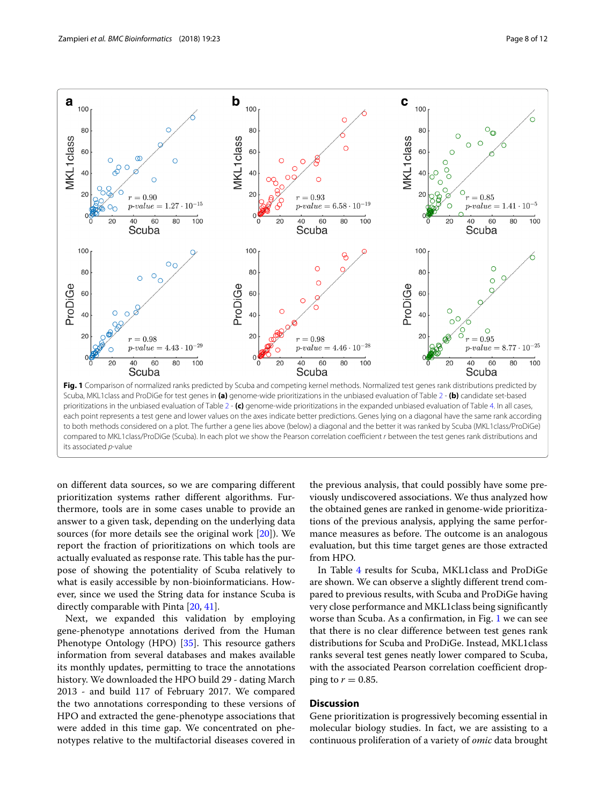

<span id="page-7-0"></span>its associated p-value

on different data sources, so we are comparing different prioritization systems rather different algorithms. Furthermore, tools are in some cases unable to provide an answer to a given task, depending on the underlying data sources (for more details see the original work [\[20\]](#page-10-18)). We report the fraction of prioritizations on which tools are actually evaluated as response rate. This table has the purpose of showing the potentiality of Scuba relatively to what is easily accessible by non-bioinformaticians. However, since we used the String data for instance Scuba is directly comparable with Pinta [\[20,](#page-10-18) [41\]](#page-10-40).

Next, we expanded this validation by employing gene-phenotype annotations derived from the Human Phenotype Ontology (HPO) [\[35\]](#page-10-33). This resource gathers information from several databases and makes available its monthly updates, permitting to trace the annotations history. We downloaded the HPO build 29 - dating March 2013 - and build 117 of February 2017. We compared the two annotations corresponding to these versions of HPO and extracted the gene-phenotype associations that were added in this time gap. We concentrated on phenotypes relative to the multifactorial diseases covered in the previous analysis, that could possibly have some previously undiscovered associations. We thus analyzed how the obtained genes are ranked in genome-wide prioritizations of the previous analysis, applying the same performance measures as before. The outcome is an analogous evaluation, but this time target genes are those extracted from HPO.

In Table [4](#page-8-1) results for Scuba, MKL1class and ProDiGe are shown. We can observe a slightly different trend compared to previous results, with Scuba and ProDiGe having very close performance and MKL1class being significantly worse than Scuba. As a confirmation, in Fig. [1](#page-7-0) we can see that there is no clear difference between test genes rank distributions for Scuba and ProDiGe. Instead, MKL1class ranks several test genes neatly lower compared to Scuba, with the associated Pearson correlation coefficient dropping to  $r = 0.85$ .

## **Discussion**

Gene prioritization is progressively becoming essential in molecular biology studies. In fact, we are assisting to a continuous proliferation of a variety of *omic* data brought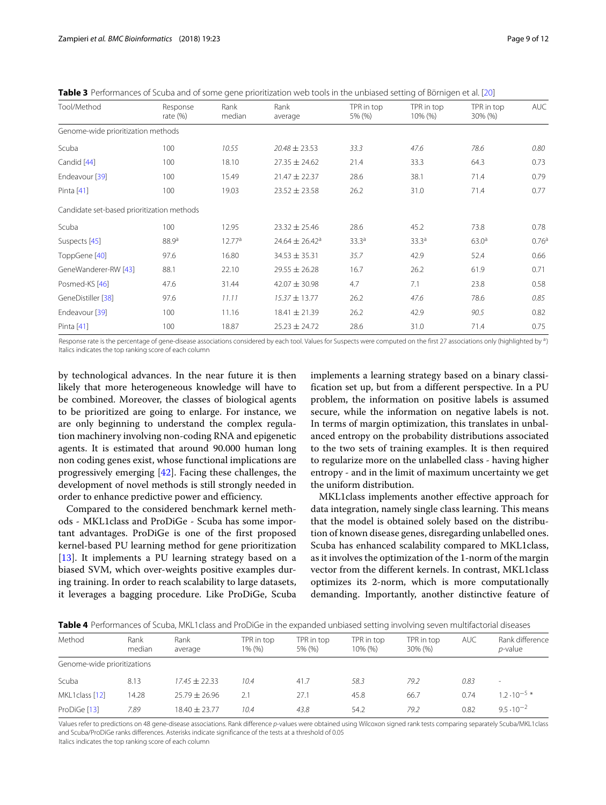<span id="page-8-0"></span>

| Table 3 Performances of Scuba and of some gene prioritization web tools in the unbiased setting of Börnigen et al. [20] |  |  |  |
|-------------------------------------------------------------------------------------------------------------------------|--|--|--|
|-------------------------------------------------------------------------------------------------------------------------|--|--|--|

| Tool/Method                                | Response<br>rate $(\%)$ | Rank<br>median     | Rank<br>average                | TPR in top<br>5% (%) | TPR in top<br>10% (%) | TPR in top<br>30% (%) | <b>AUC</b>        |
|--------------------------------------------|-------------------------|--------------------|--------------------------------|----------------------|-----------------------|-----------------------|-------------------|
| Genome-wide prioritization methods         |                         |                    |                                |                      |                       |                       |                   |
| Scuba                                      | 100                     | 10.55              | $20.48 \pm 23.53$              | 33.3                 | 47.6                  | 78.6                  | 0.80              |
| Candid [44]                                | 100                     | 18.10              | $27.35 \pm 24.62$              | 21.4                 | 33.3                  | 64.3                  | 0.73              |
| Endeavour [39]                             | 100                     | 15.49              | $21.47 \pm 22.37$              | 28.6                 | 38.1                  | 71.4                  | 0.79              |
| Pinta [41]                                 | 100                     | 19.03              | $23.52 \pm 23.58$              | 26.2                 | 31.0                  | 71.4                  | 0.77              |
| Candidate set-based prioritization methods |                         |                    |                                |                      |                       |                       |                   |
| Scuba                                      | 100                     | 12.95              | $23.32 \pm 25.46$              | 28.6                 | 45.2                  | 73.8                  | 0.78              |
| Suspects [45]                              | 88.9 <sup>a</sup>       | 12.77 <sup>a</sup> | $24.64 \pm 26.42$ <sup>a</sup> | 33.3 <sup>a</sup>    | 33.3 <sup>a</sup>     | 63.0 <sup>a</sup>     | 0.76 <sup>a</sup> |
| ToppGene [40]                              | 97.6                    | 16.80              | $34.53 \pm 35.31$              | 35.7                 | 42.9                  | 52.4                  | 0.66              |
| GeneWanderer-RW [43]                       | 88.1                    | 22.10              | $29.55 \pm 26.28$              | 16.7                 | 26.2                  | 61.9                  | 0.71              |
| Posmed-KS [46]                             | 47.6                    | 31.44              | $42.07 \pm 30.98$              | 4.7                  | 7.1                   | 23.8                  | 0.58              |
| GeneDistiller [38]                         | 97.6                    | 11.11              | $15.37 \pm 13.77$              | 26.2                 | 47.6                  | 78.6                  | 0.85              |
| Endeavour [39]                             | 100                     | 11.16              | $18.41 \pm 21.39$              | 26.2                 | 42.9                  | 90.5                  | 0.82              |
| Pinta [41]                                 | 100                     | 18.87              | $25.23 \pm 24.72$              | 28.6                 | 31.0                  | 71.4                  | 0.75              |
|                                            |                         |                    |                                |                      |                       |                       |                   |

Response rate is the percentage of gene-disease associations considered by each tool. Values for Suspects were computed on the first 27 associations only (highlighted by a) Italics indicates the top ranking score of each column

by technological advances. In the near future it is then likely that more heterogeneous knowledge will have to be combined. Moreover, the classes of biological agents to be prioritized are going to enlarge. For instance, we are only beginning to understand the complex regulation machinery involving non-coding RNA and epigenetic agents. It is estimated that around 90.000 human long non coding genes exist, whose functional implications are progressively emerging [\[42\]](#page-11-4). Facing these challenges, the development of novel methods is still strongly needed in order to enhance predictive power and efficiency.

Compared to the considered benchmark kernel methods - MKL1class and ProDiGe - Scuba has some important advantages. ProDiGe is one of the first proposed kernel-based PU learning method for gene prioritization [\[13\]](#page-10-12). It implements a PU learning strategy based on a biased SVM, which over-weights positive examples during training. In order to reach scalability to large datasets, it leverages a bagging procedure. Like ProDiGe, Scuba implements a learning strategy based on a binary classification set up, but from a different perspective. In a PU problem, the information on positive labels is assumed secure, while the information on negative labels is not. In terms of margin optimization, this translates in unbalanced entropy on the probability distributions associated to the two sets of training examples. It is then required to regularize more on the unlabelled class - having higher entropy - and in the limit of maximum uncertainty we get the uniform distribution.

MKL1class implements another effective approach for data integration, namely single class learning. This means that the model is obtained solely based on the distribution of known disease genes, disregarding unlabelled ones. Scuba has enhanced scalability compared to MKL1class, as it involves the optimization of the 1-norm of the margin vector from the different kernels. In contrast, MKL1class optimizes its 2-norm, which is more computationally demanding. Importantly, another distinctive feature of

<span id="page-8-1"></span>

| Method                      | Rank<br>median | Rank<br>average   | TPR in top<br>1% (%) | TPR in top<br>5% (%) | TPR in top<br>10% (%) | TPR in top<br>30% (%) | <b>AUC</b> | Rank difference<br><i>p</i> -value |
|-----------------------------|----------------|-------------------|----------------------|----------------------|-----------------------|-----------------------|------------|------------------------------------|
| Genome-wide prioritizations |                |                   |                      |                      |                       |                       |            |                                    |
| Scuba                       | 8.13           | $17.45 \pm 22.33$ | 10.4                 | 41.7                 | 58.3                  | 79.2                  | 0.83       | -                                  |
| MKL1class [12]              | 14.28          | $25.79 + 26.96$   | 2.1                  | 27.1                 | 45.8                  | 66.7                  | 0.74       | 1.2 $\cdot$ 10 <sup>-5</sup> *     |
| ProDiGe [13]                | 7.89           | $18.40 + 23.77$   | 10.4                 | 43.8                 | 54.2                  | 79.2                  | 0.82       | $9.5 \cdot 10^{-2}$                |

Values refer to predictions on 48 gene-disease associations. Rank difference p-values were obtained using Wilcoxon signed rank tests comparing separately Scuba/MKL1class and Scuba/ProDiGe ranks differences. Asterisks indicate significance of the tests at a threshold of 0.05

Italics indicates the top ranking score of each column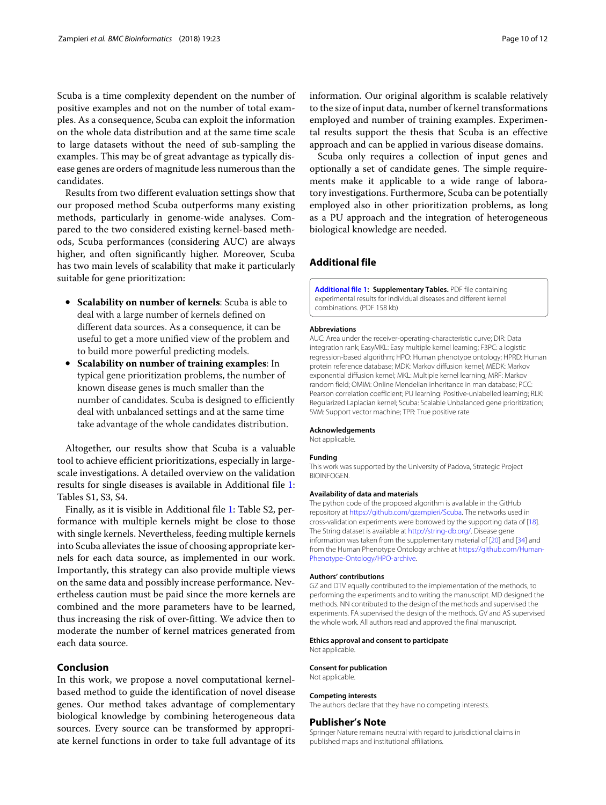Scuba is a time complexity dependent on the number of positive examples and not on the number of total examples. As a consequence, Scuba can exploit the information on the whole data distribution and at the same time scale to large datasets without the need of sub-sampling the examples. This may be of great advantage as typically disease genes are orders of magnitude less numerous than the candidates.

Results from two different evaluation settings show that our proposed method Scuba outperforms many existing methods, particularly in genome-wide analyses. Compared to the two considered existing kernel-based methods, Scuba performances (considering AUC) are always higher, and often significantly higher. Moreover, Scuba has two main levels of scalability that make it particularly suitable for gene prioritization:

- **Scalability on number of kernels**: Scuba is able to deal with a large number of kernels defined on different data sources. As a consequence, it can be useful to get a more unified view of the problem and to build more powerful predicting models.
- **Scalability on number of training examples**: In typical gene prioritization problems, the number of known disease genes is much smaller than the number of candidates. Scuba is designed to efficiently deal with unbalanced settings and at the same time take advantage of the whole candidates distribution.

Altogether, our results show that Scuba is a valuable tool to achieve efficient prioritizations, especially in largescale investigations. A detailed overview on the validation results for single diseases is available in Additional file [1:](#page-9-0) Tables S1, S3, S4.

Finally, as it is visible in Additional file [1:](#page-9-0) Table S2, performance with multiple kernels might be close to those with single kernels. Nevertheless, feeding multiple kernels into Scuba alleviates the issue of choosing appropriate kernels for each data source, as implemented in our work. Importantly, this strategy can also provide multiple views on the same data and possibly increase performance. Nevertheless caution must be paid since the more kernels are combined and the more parameters have to be learned, thus increasing the risk of over-fitting. We advice then to moderate the number of kernel matrices generated from each data source.

## **Conclusion**

In this work, we propose a novel computational kernelbased method to guide the identification of novel disease genes. Our method takes advantage of complementary biological knowledge by combining heterogeneous data sources. Every source can be transformed by appropriate kernel functions in order to take full advantage of its information. Our original algorithm is scalable relatively to the size of input data, number of kernel transformations employed and number of training examples. Experimental results support the thesis that Scuba is an effective approach and can be applied in various disease domains.

Scuba only requires a collection of input genes and optionally a set of candidate genes. The simple requirements make it applicable to a wide range of laboratory investigations. Furthermore, Scuba can be potentially employed also in other prioritization problems, as long as a PU approach and the integration of heterogeneous biological knowledge are needed.

## **Additional file**

<span id="page-9-0"></span>**[Additional file 1:](http://dx.doi.org/10.1186/s12859-018-2025-5) Supplementary Tables.** PDF file containing experimental results for individual diseases and different kernel combinations. (PDF 158 kb)

#### **Abbreviations**

AUC: Area under the receiver-operating-characteristic curve; DIR: Data integration rank; EasyMKL: Easy multiple kernel learning; F3PC: a logistic regression-based algorithm; HPO: Human phenotype ontology; HPRD: Human protein reference database; MDK: Markov diffusion kernel; MEDK: Markov exponential diffusion kernel; MKL: Multiple kernel learning; MRF: Markov random field; OMIM: Online Mendelian inheritance in man database; PCC: Pearson correlation coefficient; PU learning: Positive-unlabelled learning; RLK: Regularized Laplacian kernel; Scuba: Scalable Unbalanced gene prioritization; SVM: Support vector machine; TPR: True positive rate

## **Acknowledgements**

Not applicable.

#### **Funding**

This work was supported by the University of Padova, Strategic Project **BIOINFOGEN** 

### **Availability of data and materials**

The python code of the proposed algorithm is available in the GitHub repository at [https://github.com/gzampieri/Scuba.](https://github.com/gzampieri/Scuba) The networks used in cross-validation experiments were borrowed by the supporting data of [\[18\]](#page-10-16). The String dataset is available at [http://string-db.org/.](http://string-db.org/) Disease gene information was taken from the supplementary material of [\[20\]](#page-10-18) and [\[34\]](#page-10-32) and from the Human Phenotype Ontology archive at [https://github.com/Human-](https://github.com/Human-Phenotype-Ontology/HPO-archive)[Phenotype-Ontology/HPO-archive.](https://github.com/Human-Phenotype-Ontology/HPO-archive)

#### **Authors' contributions**

GZ and DTV equally contributed to the implementation of the methods, to performing the experiments and to writing the manuscript. MD designed the methods. NN contributed to the design of the methods and supervised the experiments. FA supervised the design of the methods. GV and AS supervised the whole work. All authors read and approved the final manuscript.

#### **Ethics approval and consent to participate**

Not applicable.

## **Consent for publication**

Not applicable.

#### **Competing interests**

The authors declare that they have no competing interests.

#### **Publisher's Note**

Springer Nature remains neutral with regard to jurisdictional claims in published maps and institutional affiliations.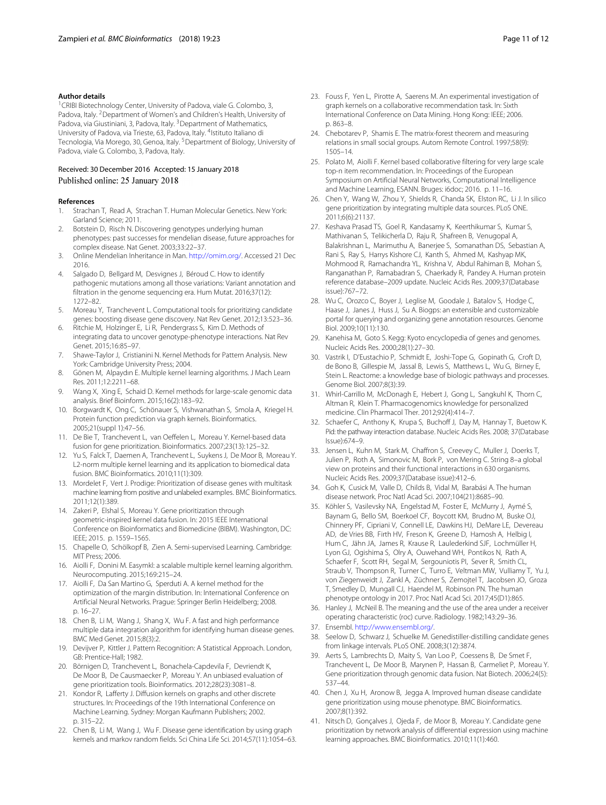#### **Author details**

<sup>1</sup> CRIBI Biotechnology Center, University of Padova, viale G. Colombo, 3, Padova, Italy. <sup>2</sup> Department of Women's and Children's Health, University of Padova, via Giustiniani, 3, Padova, Italy. <sup>3</sup> Department of Mathematics, University of Padova, via Trieste, 63, Padova, Italy. 4Istituto Italiano di Tecnologia, Via Morego, 30, Genoa, Italy. <sup>5</sup> Department of Biology, University of Padova, viale G. Colombo, 3, Padova, Italy.

## Received: 30 December 2016 Accepted: 15 January 2018 Published online: 25 January 2018

## **References**

- <span id="page-10-0"></span>1. Strachan T, Read A, Strachan T. Human Molecular Genetics. New York: Garland Science; 2011.
- <span id="page-10-1"></span>2. Botstein D, Risch N. Discovering genotypes underlying human phenotypes: past successes for mendelian disease, future approaches for complex disease. Nat Genet. 2003;33:22–37.
- <span id="page-10-2"></span>3. Online Mendelian Inheritance in Man. [http://omim.org/.](http://omim.org/) Accessed 21 Dec 2016.
- <span id="page-10-3"></span>Salgado D, Bellgard M, Desvignes J, Béroud C. How to identify pathogenic mutations among all those variations: Variant annotation and filtration in the genome sequencing era. Hum Mutat. 2016;37(12): 1272–82.
- <span id="page-10-4"></span>5. Moreau Y, Tranchevent L. Computational tools for prioritizing candidate genes: boosting disease gene discovery. Nat Rev Genet. 2012;13:523–36.
- <span id="page-10-5"></span>6. Ritchie M, Holzinger E, Li R, Pendergrass S, Kim D. Methods of integrating data to uncover genotype-phenotype interactions. Nat Rev Genet. 2015;16:85–97.
- <span id="page-10-6"></span>7. Shawe-Taylor J, Cristianini N. Kernel Methods for Pattern Analysis. New York: Cambridge University Press; 2004.
- <span id="page-10-7"></span>8. Gönen M, Alpaydın E. Multiple kernel learning algorithms. J Mach Learn Res. 2011;12:2211–68.
- <span id="page-10-8"></span>9. Wang X, Xing E, Schaid D. Kernel methods for large-scale genomic data analysis. Brief Bioinform. 2015;16(2):183–92.
- <span id="page-10-9"></span>10. Borgwardt K, Ong C, Schönauer S, Vishwanathan S, Smola A, Kriegel H. Protein function prediction via graph kernels. Bioinformatics. 2005;21(suppl 1):47–56.
- <span id="page-10-10"></span>11. De Bie T, Tranchevent L, van Oeffelen L, Moreau Y. Kernel-based data fusion for gene prioritization. Bioinformatics. 2007;23(13):125–32.
- <span id="page-10-34"></span>12. Yu S, Falck T, Daemen A, Tranchevent L, Suykens J, De Moor B, Moreau Y. L2-norm multiple kernel learning and its application to biomedical data fusion. BMC Bioinformatics. 2010;11(1):309.
- <span id="page-10-12"></span>13. Mordelet F, Vert J. Prodige: Prioritization of disease genes with multitask machine learning from positive and unlabeled examples. BMC Bioinformatics. 2011;12(1):389.
- <span id="page-10-11"></span>14. Zakeri P, Elshal S, Moreau Y. Gene prioritization through geometric-inspired kernel data fusion. In: 2015 IEEE International Conference on Bioinformatics and Biomedicine (BIBM). Washington, DC: IEEE; 2015. p. 1559–1565.
- <span id="page-10-13"></span>15. Chapelle O, Schölkopf B, Zien A. Semi-supervised Learning. Cambridge: MIT Press; 2006.
- <span id="page-10-14"></span>16. Aiolli F, Donini M. Easymkl: a scalable multiple kernel learning algorithm. Neurocomputing. 2015;169:215–24.
- <span id="page-10-15"></span>17. Aiolli F, Da San Martino G, Sperduti A. A kernel method for the optimization of the margin distribution. In: International Conference on Artificial Neural Networks. Prague: Springer Berlin Heidelberg; 2008. p. 16–27.
- <span id="page-10-16"></span>18. Chen B, Li M, Wang J, Shang X, Wu F. A fast and high performance multiple data integration algorithm for identifying human disease genes. BMC Med Genet. 2015;8(3):2.
- <span id="page-10-17"></span>19. Devijver P, Kittler J. Pattern Recognition: A Statistical Approach. London, GB: Prentice-Hall; 1982.
- <span id="page-10-18"></span>20. Börnigen D, Tranchevent L, Bonachela-Capdevila F, Devriendt K, De Moor B, De Causmaecker P, Moreau Y. An unbiased evaluation of gene prioritization tools. Bioinformatics. 2012;28(23):3081–8.
- <span id="page-10-19"></span>21. Kondor R, Lafferty J. Diffusion kernels on graphs and other discrete structures. In: Proceedings of the 19th International Conference on Machine Learning. Sydney: Morgan Kaufmann Publishers; 2002. p. 315–22.
- <span id="page-10-20"></span>22. Chen B, Li M, Wang J, Wu F. Disease gene identification by using graph kernels and markov random fields. Sci China Life Sci. 2014;57(11):1054–63.
- <span id="page-10-21"></span>23. Fouss F, Yen L, Pirotte A, Saerens M. An experimental investigation of graph kernels on a collaborative recommendation task. In: Sixth International Conference on Data Mining. Hong Kong: IEEE; 2006. p. 863–8.
- <span id="page-10-22"></span>24. Chebotarev P, Shamis E. The matrix-forest theorem and measuring relations in small social groups. Autom Remote Control. 1997;58(9): 1505–14.
- <span id="page-10-23"></span>25. Polato M, Aiolli F. Kernel based collaborative filtering for very large scale top-n item recommendation. In: Proceedings of the European Symposium on Artificial Neural Networks, Computational Intelligence and Machine Learning, ESANN. Bruges: i6doc; 2016. p. 11–16.
- <span id="page-10-24"></span>26. Chen Y, Wang W, Zhou Y, Shields R, Chanda SK, Elston RC, Li J. In silico gene prioritization by integrating multiple data sources. PLoS ONE. 2011;6(6):21137.
- <span id="page-10-25"></span>27. Keshava Prasad TS, Goel R, Kandasamy K, Keerthikumar S, Kumar S, Mathivanan S, Telikicherla D, Raju R, Shafreen B, Venugopal A, Balakrishnan L, Marimuthu A, Banerjee S, Somanathan DS, Sebastian A, Rani S, Ray S, Harrys Kishore CJ, Kanth S, Ahmed M, Kashyap MK, Mohmood R, Ramachandra YL, Krishna V, Abdul Rahiman B, Mohan S, Ranganathan P, Ramabadran S, Chaerkady R, Pandey A. Human protein reference database–2009 update. Nucleic Acids Res. 2009;37(Database issue):767–72.
- <span id="page-10-26"></span>28. Wu C, Orozco C, Boyer J, Leglise M, Goodale J, Batalov S, Hodge C, Haase J, Janes J, Huss J, Su A. Biogps: an extensible and customizable portal for querying and organizing gene annotation resources. Genome Biol. 2009;10(11):130.
- <span id="page-10-27"></span>29. Kanehisa M, Goto S. Kegg: Kyoto encyclopedia of genes and genomes. Nucleic Acids Res. 2000;28(1):27–30.
- <span id="page-10-28"></span>30. Vastrik I, D'Eustachio P, Schmidt E, Joshi-Tope G, Gopinath G, Croft D, de Bono B, Gillespie M, Jassal B, Lewis S, Matthews L, Wu G, Birney E, Stein L. Reactome: a knowledge base of biologic pathways and processes. Genome Biol. 2007;8(3):39.
- <span id="page-10-29"></span>31. Whirl-Carrillo M, McDonagh E, Hebert J, Gong L, Sangkuhl K, Thorn C, Altman R, Klein T. Pharmacogenomics knowledge for personalized medicine. Clin Pharmacol Ther. 2012;92(4):414–7.
- <span id="page-10-30"></span>32. Schaefer C, Anthony K, Krupa S, Buchoff J, Day M, Hannay T, Buetow K. Pid: the pathway interaction database. Nucleic Acids Res. 2008; 37(Database Issue):674–9.
- <span id="page-10-31"></span>33. Jensen L, Kuhn M, Stark M, Chaffron S, Creevey C, Muller J, Doerks T, Julien P, Roth A, Simonovic M, Bork P, von Mering C. String 8–a global view on proteins and their functional interactions in 630 organisms. Nucleic Acids Res. 2009;37(Database issue):412–6.
- <span id="page-10-32"></span>34. Goh K, Cusick M, Valle D, Childs B, Vidal M, Barabási A. The human disease network. Proc Natl Acad Sci. 2007;104(21):8685–90.
- <span id="page-10-33"></span>35. Köhler S, Vasilevsky NA, Engelstad M, Foster E, McMurry J, Aymé S, Baynam G, Bello SM, Boerkoel CF, Boycott KM, Brudno M, Buske OJ, Chinnery PF, Cipriani V, Connell LE, Dawkins HJ, DeMare LE, Devereau AD, de Vries BB, Firth HV, Freson K, Greene D, Hamosh A, Helbig I, Hum C, Jähn JA, James R, Krause R, Laulederkind SJF, Lochmüller H, Lyon GJ, Ogishima S, Olry A, Ouwehand WH, Pontikos N, Rath A, Schaefer F, Scott RH, Segal M, Sergouniotis PI, Sever R, Smith CL, Straub V, Thompson R, Turner C, Turro E, Veltman MW, Vulliamy T, Yu J, von Ziegenweidt J, Zankl A, Züchner S, Zemojtel T, Jacobsen JO, Groza T, Smedley D, Mungall CJ, Haendel M, Robinson PN. The human phenotype ontology in 2017. Proc Natl Acad Sci. 2017;45(D1):865.
- <span id="page-10-35"></span>36. Hanley J, McNeil B. The meaning and the use of the area under a receiver operating characteristic (roc) curve. Radiology. 1982;143:29–36.
- <span id="page-10-36"></span>37. Ensembl. [http://www.ensembl.org/.](http://www.ensembl.org/)
- <span id="page-10-37"></span>38. Seelow D, Schwarz J, Schuelke M. Genedistiller-distilling candidate genes from linkage intervals. PLoS ONE. 2008;3(12):3874.
- <span id="page-10-38"></span>39. Aerts S, Lambrechts D, Maity S, Van Loo P, Coessens B, De Smet F, Tranchevent L, De Moor B, Marynen P, Hassan B, Carmeliet P, Moreau Y. Gene prioritization through genomic data fusion. Nat Biotech. 2006;24(5): 537–44.
- <span id="page-10-39"></span>40. Chen J, Xu H, Aronow B, Jegga A. Improved human disease candidate gene prioritization using mouse phenotype. BMC Bioinformatics. 2007;8(1):392.
- <span id="page-10-40"></span>41. Nitsch D, Gonçalves J, Ojeda F, de Moor B, Moreau Y. Candidate gene prioritization by network analysis of differential expression using machine learning approaches. BMC Bioinformatics. 2010;11(1):460.